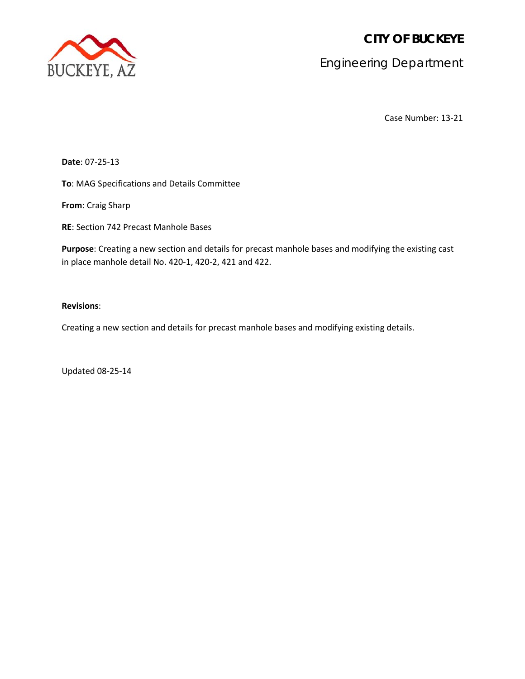**CITY OF BUCKEYE**



Engineering Department

Case Number: 13-21

**Date**: 07-25-13

**To**: MAG Specifications and Details Committee

**From**: Craig Sharp

**RE**: Section 742 Precast Manhole Bases

**Purpose**: Creating a new section and details for precast manhole bases and modifying the existing cast in place manhole detail No. 420-1, 420-2, 421 and 422.

# **Revisions**:

Creating a new section and details for precast manhole bases and modifying existing details.

Updated 08-25-14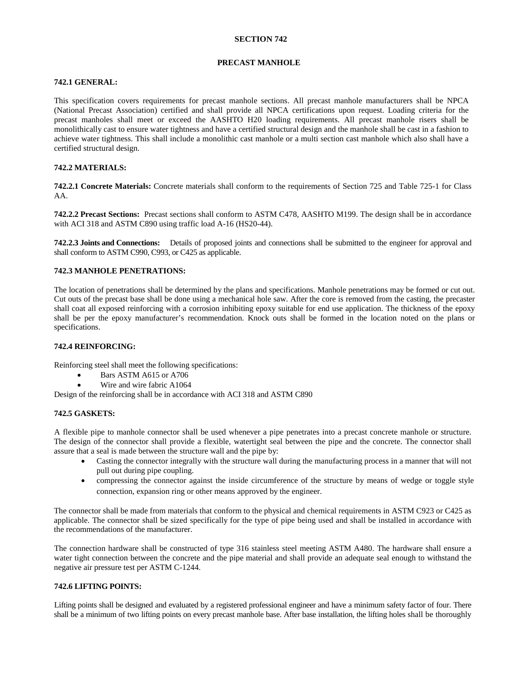## **SECTION 742**

#### **PRECAST MANHOLE**

#### **742.1 GENERAL:**

This specification covers requirements for precast manhole sections. All precast manhole manufacturers shall be NPCA (National Precast Association) certified and shall provide all NPCA certifications upon request. Loading criteria for the precast manholes shall meet or exceed the AASHTO H20 loading requirements. All precast manhole risers shall be monolithically cast to ensure water tightness and have a certified structural design and the manhole shall be cast in a fashion to achieve water tightness. This shall include a monolithic cast manhole or a multi section cast manhole which also shall have a certified structural design.

## **742.2 MATERIALS:**

**742.2.1 Concrete Materials:** Concrete materials shall conform to the requirements of Section 725 and Table 725-1 for Class AA.

**742.2.2 Precast Sections:** Precast sections shall conform to ASTM C478, AASHTO M199. The design shall be in accordance with ACI 318 and ASTM C890 using traffic load A-16 (HS20-44).

**742.2.3 Joints and Connections:** Details of proposed joints and connections shall be submitted to the engineer for approval and shall conform to ASTM C990, C993, or C425 as applicable.

### **742.3 MANHOLE PENETRATIONS:**

The location of penetrations shall be determined by the plans and specifications. Manhole penetrations may be formed or cut out. Cut outs of the precast base shall be done using a mechanical hole saw. After the core is removed from the casting, the precaster shall coat all exposed reinforcing with a corrosion inhibiting epoxy suitable for end use application. The thickness of the epoxy shall be per the epoxy manufacturer's recommendation. Knock outs shall be formed in the location noted on the plans or specifications.

### **742.4 REINFORCING:**

Reinforcing steel shall meet the following specifications:

- Bars ASTM A615 or A706
- Wire and wire fabric A1064

Design of the reinforcing shall be in accordance with ACI 318 and ASTM C890

#### **742.5 GASKETS:**

A flexible pipe to manhole connector shall be used whenever a pipe penetrates into a precast concrete manhole or structure. The design of the connector shall provide a flexible, watertight seal between the pipe and the concrete. The connector shall assure that a seal is made between the structure wall and the pipe by:

- Casting the connector integrally with the structure wall during the manufacturing process in a manner that will not pull out during pipe coupling.
- compressing the connector against the inside circumference of the structure by means of wedge or toggle style connection, expansion ring or other means approved by the engineer.

The connector shall be made from materials that conform to the physical and chemical requirements in ASTM C923 or C425 as applicable. The connector shall be sized specifically for the type of pipe being used and shall be installed in accordance with the recommendations of the manufacturer.

The connection hardware shall be constructed of type 316 stainless steel meeting ASTM A480. The hardware shall ensure a water tight connection between the concrete and the pipe material and shall provide an adequate seal enough to withstand the negative air pressure test per ASTM C-1244.

# **742.6 LIFTING POINTS:**

Lifting points shall be designed and evaluated by a registered professional engineer and have a minimum safety factor of four. There shall be a minimum of two lifting points on every precast manhole base. After base installation, the lifting holes shall be thoroughly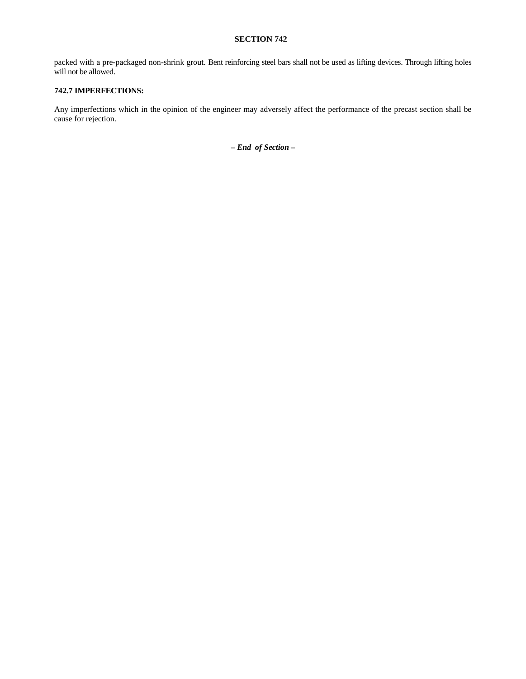# **SECTION 742**

packed with a pre-packaged non-shrink grout. Bent reinforcing steel bars shall not be used as lifting devices. Through lifting holes will not be allowed.

# **742.7 IMPERFECTIONS:**

Any imperfections which in the opinion of the engineer may adversely affect the performance of the precast section shall be cause for rejection.

*– End of Section* **–**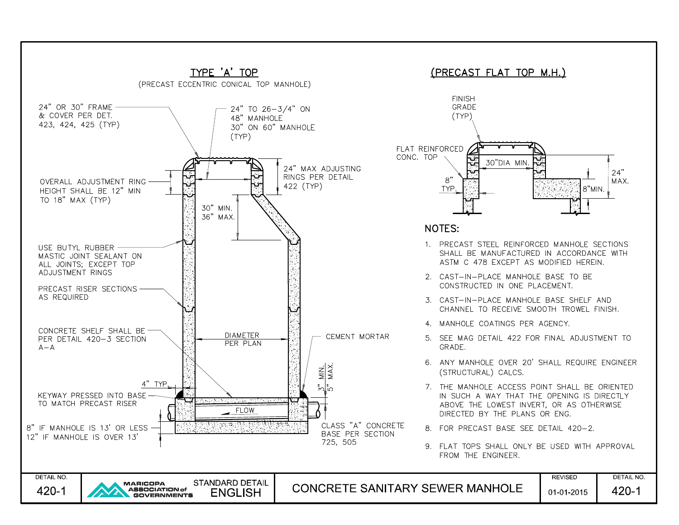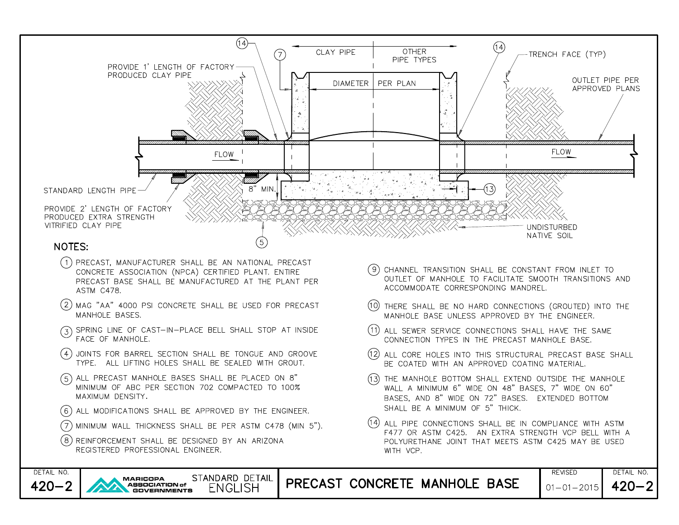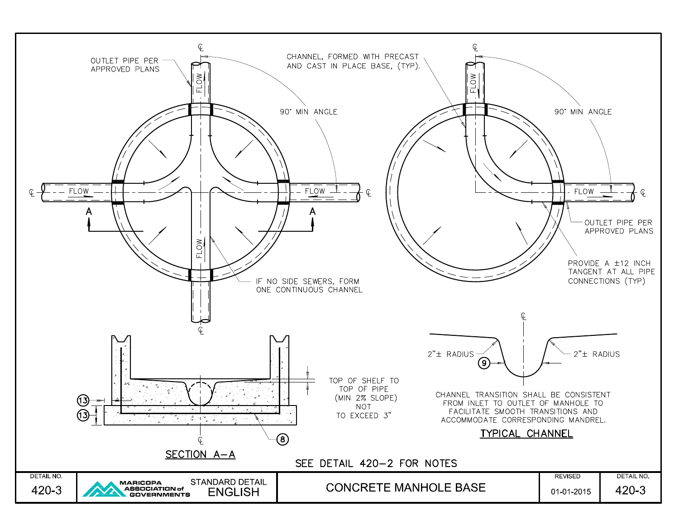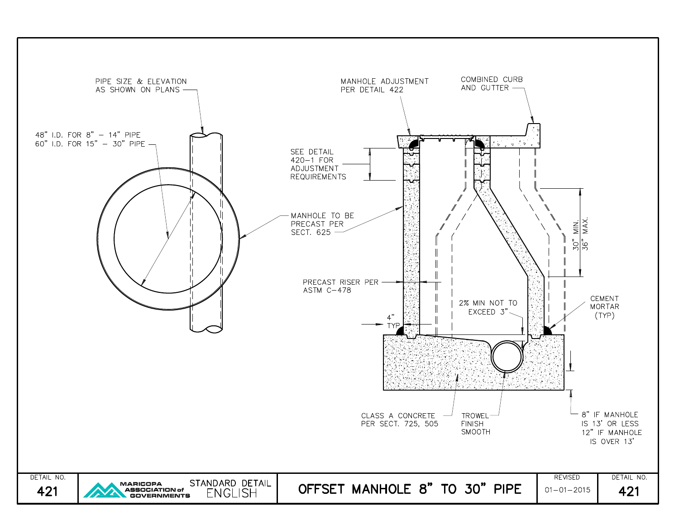